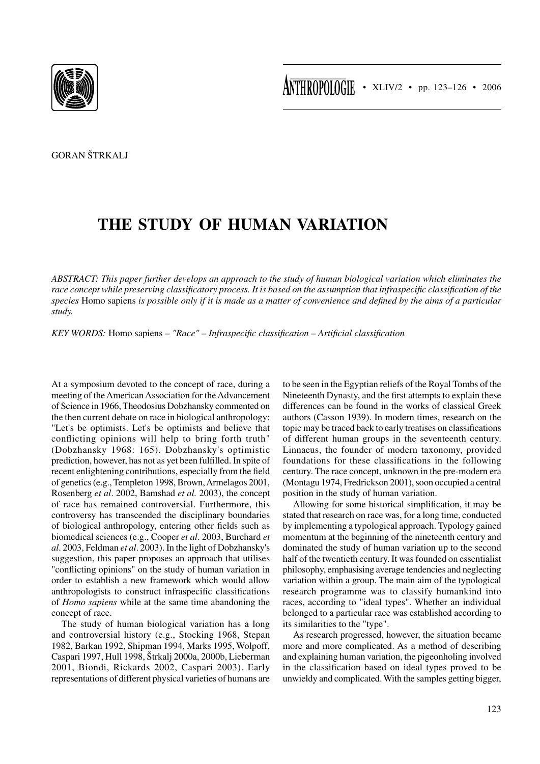

GORAN ŠTRKALJ

## **THE STUDY OF HUMAN VARIATION**

*ABSTRACT: This paper further develops an approach to the study of human biological variation which eliminates the race concept while preserving classificatory process. It is based on the assumption that infraspecific classification of the species* Homo sapiens *is possible only if it is made as a matter of convenience and defined by the aims of a particular study.*

*KEY WORDS:* Homo sapiens *– "Race" – Infraspecific classification – Artificial classification*

At a symposium devoted to the concept of race, during a meeting of the American Association for the Advancement of Science in 1966, Theodosius Dobzhansky commented on the then current debate on race in biological anthropology: "Let's be optimists. Let's be optimists and believe that conflicting opinions will help to bring forth truth" (Dobzhansky 1968: 165). Dobzhansky's optimistic prediction, however, has not as yet been fulfilled. In spite of recent enlightening contributions, especially from the field of genetics (e.g., Templeton 1998, Brown, Armelagos 2001, Rosenberg *et al*. 2002, Bamshad *et al.* 2003), the concept of race has remained controversial. Furthermore, this controversy has transcended the disciplinary boundaries of biological anthropology, entering other fields such as biomedical sciences (e.g., Cooper *et al*. 2003, Burchard *et al*. 2003, Feldman *et al*. 2003). In the light of Dobzhansky's suggestion, this paper proposes an approach that utilises "conflicting opinions" on the study of human variation in order to establish a new framework which would allow anthropologists to construct infraspecific classifications of *Homo sapiens* while at the same time abandoning the concept of race.

The study of human biological variation has a long and controversial history (e.g., Stocking 1968, Stepan 1982, Barkan 1992, Shipman 1994, Marks 1995, Wolpoff, Caspari 1997, Hull 1998, Štrkalj 2000a, 2000b, Lieberman 2001, Biondi, Rickards 2002, Caspari 2003). Early representations of different physical varieties of humans are

to be seen in the Egyptian reliefs of the Royal Tombs of the Nineteenth Dynasty, and the first attempts to explain these differences can be found in the works of classical Greek authors (Casson 1939). In modern times, research on the topic may be traced back to early treatises on classifications of different human groups in the seventeenth century. Linnaeus, the founder of modern taxonomy, provided foundations for these classifications in the following century. The race concept, unknown in the pre-modern era (Montagu 1974, Fredrickson 2001), soon occupied a central position in the study of human variation.

Allowing for some historical simplification, it may be stated that research on race was, for a long time, conducted by implementing a typological approach. Typology gained momentum at the beginning of the nineteenth century and dominated the study of human variation up to the second half of the twentieth century. It was founded on essentialist philosophy, emphasising average tendencies and neglecting variation within a group. The main aim of the typological research programme was to classify humankind into races, according to "ideal types". Whether an individual belonged to a particular race was established according to its similarities to the "type".

As research progressed, however, the situation became more and more complicated. As a method of describing and explaining human variation, the pigeonholing involved in the classification based on ideal types proved to be unwieldy and complicated. With the samples getting bigger,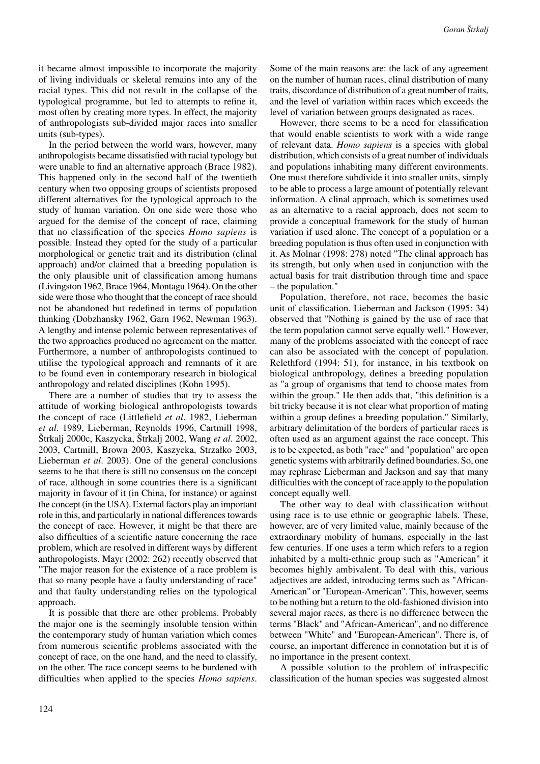it became almost impossible to incorporate the majority of living individuals or skeletal remains into any of the racial types. This did not result in the collapse of the typological programme, but led to attempts to refine it, most often by creating more types. In effect, the majority of anthropologists sub-divided major races into smaller units (sub-types).

In the period between the world wars, however, many anthropologists became dissatisfied with racial typology but were unable to find an alternative approach (Brace 1982). This happened only in the second half of the twentieth century when two opposing groups of scientists proposed different alternatives for the typological approach to the study of human variation. On one side were those who argued for the demise of the concept of race, claiming that no classification of the species *Homo sapiens* is possible. Instead they opted for the study of a particular morphological or genetic trait and its distribution (clinal approach) and/or claimed that a breeding population is the only plausible unit of classification among humans (Livingston 1962, Brace 1964, Montagu 1964). On the other side were those who thought that the concept of race should not be abandoned but redefined in terms of population thinking (Dobzhansky 1962, Garn 1962, Newman 1963). A lengthy and intense polemic between representatives of the two approaches produced no agreement on the matter. Furthermore, a number of anthropologists continued to utilise the typological approach and remnants of it are to be found even in contemporary research in biological anthropology and related disciplines (Kohn 1995).

There are a number of studies that try to assess the attitude of working biological anthropologists towards the concept of race (Littlefield *et al*. 1982, Lieberman *et al*. 1989, Lieberman, Reynolds 1996, Cartmill 1998, Štrkalj 2000c, Kaszycka, Štrkalj 2002, Wang *et al*. 2002, 2003, Cartmill, Brown 2003, Kaszycka, Strzałko 2003, Lieberman *et al*. 2003). One of the general conclusions seems to be that there is still no consensus on the concept of race, although in some countries there is a significant majority in favour of it (in China, for instance) or against the concept (in the USA). External factors play an important role in this, and particularly in national differences towards the concept of race. However, it might be that there are also difficulties of a scientific nature concerning the race problem, which are resolved in different ways by different anthropologists. Mayr (2002: 262) recently observed that "The major reason for the existence of a race problem is that so many people have a faulty understanding of race" and that faulty understanding relies on the typological approach.

It is possible that there are other problems. Probably the major one is the seemingly insoluble tension within the contemporary study of human variation which comes from numerous scientific problems associated with the concept of race, on the one hand, and the need to classify, on the other. The race concept seems to be burdened with difficulties when applied to the species *Homo sapiens*. Some of the main reasons are: the lack of any agreement on the number of human races, clinal distribution of many traits, discordance of distribution of a great number of traits, and the level of variation within races which exceeds the level of variation between groups designated as races.

However, there seems to be a need for classification that would enable scientists to work with a wide range of relevant data. *Homo sapiens* is a species with global distribution, which consists of a great number of individuals and populations inhabiting many different environments. One must therefore subdivide it into smaller units, simply to be able to process a large amount of potentially relevant information. A clinal approach, which is sometimes used as an alternative to a racial approach, does not seem to provide a conceptual framework for the study of human variation if used alone. The concept of a population or a breeding population is thus often used in conjunction with it. As Molnar (1998: 278) noted "The clinal approach has its strength, but only when used in conjunction with the actual basis for trait distribution through time and space – the population."

Population, therefore, not race, becomes the basic unit of classification. Lieberman and Jackson (1995: 34) observed that "Nothing is gained by the use of race that the term population cannot serve equally well." However, many of the problems associated with the concept of race can also be associated with the concept of population. Relethford (1994: 51), for instance, in his textbook on biological anthropology, defines a breeding population as "a group of organisms that tend to choose mates from within the group." He then adds that, "this definition is a bit tricky because it is not clear what proportion of mating within a group defines a breeding population." Similarly, arbitrary delimitation of the borders of particular races is often used as an argument against the race concept. This is to be expected, as both "race" and "population" are open genetic systems with arbitrarily defined boundaries. So, one may rephrase Lieberman and Jackson and say that many difficulties with the concept of race apply to the population concept equally well.

The other way to deal with classification without using race is to use ethnic or geographic labels. These, however, are of very limited value, mainly because of the extraordinary mobility of humans, especially in the last few centuries. If one uses a term which refers to a region inhabited by a multi-ethnic group such as "American" it becomes highly ambivalent. To deal with this, various adjectives are added, introducing terms such as "African-American" or "European-American". This, however, seems to be nothing but a return to the old-fashioned division into several major races, as there is no difference between the terms "Black" and "African-American", and no difference between "White" and "European-American". There is, of course, an important difference in connotation but it is of no importance in the present context.

A possible solution to the problem of infraspecific classification of the human species was suggested almost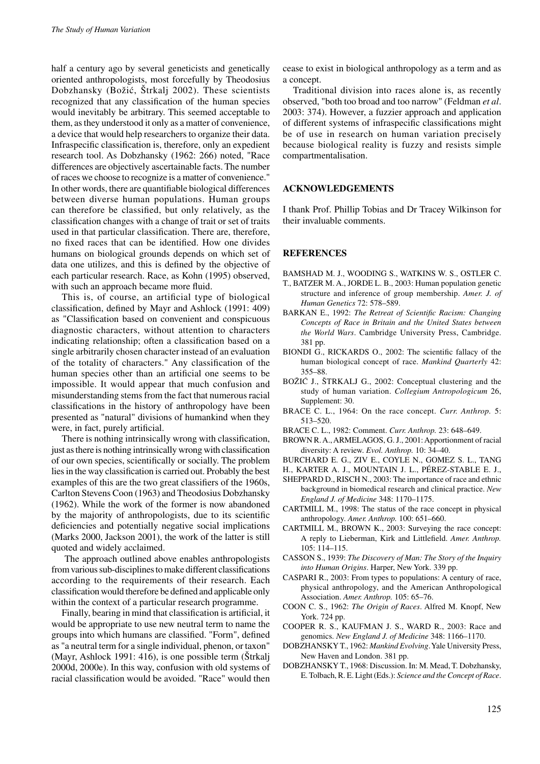half a century ago by several geneticists and genetically oriented anthropologists, most forcefully by Theodosius Dobzhansky (Božić, Štrkalj 2002). These scientists recognized that any classification of the human species would inevitably be arbitrary. This seemed acceptable to them, as they understood it only as a matter of convenience, a device that would help researchers to organize their data. Infraspecific classification is, therefore, only an expedient research tool. As Dobzhansky (1962: 266) noted, "Race differences are objectively ascertainable facts. The number of races we choose to recognize is a matter of convenience." In other words, there are quantifiable biological differences between diverse human populations. Human groups can therefore be classified, but only relatively, as the classification changes with a change of trait or set of traits used in that particular classification. There are, therefore, no fixed races that can be identified. How one divides humans on biological grounds depends on which set of data one utilizes, and this is defined by the objective of each particular research. Race, as Kohn (1995) observed, with such an approach became more fluid.

This is, of course, an artificial type of biological classification, defined by Mayr and Ashlock (1991: 409) as "Classification based on convenient and conspicuous diagnostic characters, without attention to characters indicating relationship; often a classification based on a single arbitrarily chosen character instead of an evaluation of the totality of characters." Any classification of the human species other than an artificial one seems to be impossible. It would appear that much confusion and misunderstanding stems from the fact that numerous racial classifications in the history of anthropology have been presented as "natural" divisions of humankind when they were, in fact, purely artificial.

There is nothing intrinsically wrong with classification, just as there is nothing intrinsically wrong with classification of our own species, scientifically or socially. The problem lies in the way classification is carried out. Probably the best examples of this are the two great classifiers of the 1960s, Carlton Stevens Coon (1963) and Theodosius Dobzhansky (1962). While the work of the former is now abandoned by the majority of anthropologists, due to its scientific deficiencies and potentially negative social implications (Marks 2000, Jackson 2001), the work of the latter is still quoted and widely acclaimed.

 The approach outlined above enables anthropologists from various sub-disciplines to make different classifications according to the requirements of their research. Each classification would therefore be defined and applicable only within the context of a particular research programme.

Finally, bearing in mind that classification is artificial, it would be appropriate to use new neutral term to name the groups into which humans are classified. "Form", defined as "a neutral term for a single individual, phenon, or taxon" (Mayr, Ashlock 1991: 416), is one possible term (Štrkalj 2000d, 2000e). In this way, confusion with old systems of racial classification would be avoided. "Race" would then cease to exist in biological anthropology as a term and as a concept.

Traditional division into races alone is, as recently observed, "both too broad and too narrow" (Feldman *et al*. 2003: 374). However, a fuzzier approach and application of different systems of infraspecific classifications might be of use in research on human variation precisely because biological reality is fuzzy and resists simple compartmentalisation.

## **ACKNOWLEDGEMENTS**

I thank Prof. Phillip Tobias and Dr Tracey Wilkinson for their invaluable comments.

## **REFERENCES**

- BAMSHAD M. J., WOODING S., WATKINS W. S., OSTLER C.
- T., BATZER M. A., JORDE L. B., 2003: Human population genetic structure and inference of group membership. *Amer. J. of Human Genetics* 72: 578–589.
- BARKAN E., 1992: *The Retreat of Scientific Racism: Changing Concepts of Race in Britain and the United States between the World Wars*. Cambridge University Press, Cambridge. 381 pp.
- BIONDI G., RICKARDS O., 2002: The scientific fallacy of the human biological concept of race. *Mankind Quarterly* 42: 355–88.
- BOŽIĆ J., ŠTRKALJ G., 2002: Conceptual clustering and the study of human variation. *Collegium Antropologicum* 26, Supplement: 30.
- BRACE C. L., 1964: On the race concept. *Curr. Anthrop.* 5: 513–520.
- BRACE C. L., 1982: Comment. *Curr. Anthrop.* 23: 648–649.
- BROWN R. A., ARMELAGOS, G. J., 2001: Apportionment of racial diversity: A review. *Evol. Anthrop.* 10: 34–40.
- BURCHARD E. G., ZIV E., COYLE N., GOMEZ S. L., TANG
- H., KARTER A. J., MOUNTAIN J. L., PÉREZ-STABLE E. J.,
- SHEPPARD D., RISCH N., 2003: The importance of race and ethnic background in biomedical research and clinical practice. *New England J. of Medicine* 348: 1170–1175.
- CARTMILL M., 1998: The status of the race concept in physical anthropology. *Amer. Anthrop.* 100: 651–660.
- CARTMILL M., BROWN K., 2003: Surveying the race concept: A reply to Lieberman, Kirk and Littlefield. *Amer. Anthrop.* 105: 114–115.
- CASSON S., 1939: *The Discovery of Man: The Story of the Inquiry into Human Origins*. Harper, New York. 339 pp.
- CASPARI R., 2003: From types to populations: A century of race, physical anthropology, and the American Anthropological Association. *Amer. Anthrop.* 105: 65–76.
- COON C. S., 1962: *The Origin of Races*. Alfred M. Knopf, New York. 724 pp.
- COOPER R. S., KAUFMAN J. S., WARD R., 2003: Race and genomics. *New England J. of Medicine* 348: 1166–1170.
- DOBZHANSKY T., 1962: *Mankind Evolving*. Yale University Press, New Haven and London. 381 pp.
- DOBZHANSKY T., 1968: Discussion. In: M. Mead, T. Dobzhansky, E. Tolbach, R. E. Light (Eds.): *Science and the Concept of Race*.